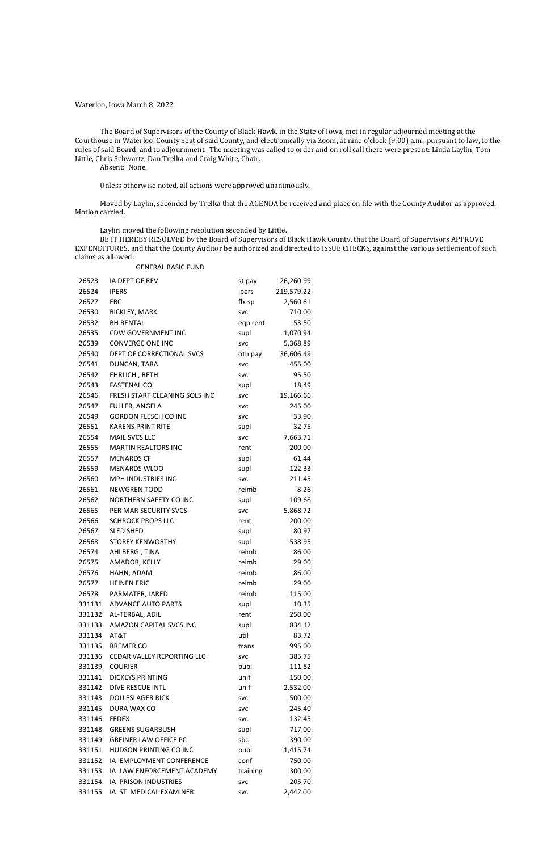# Waterloo, Iowa March 8, 2022

The Board of Supervisors of the County of Black Hawk, in the State of Iowa, met in regular adjourned meeting at the Courthouse in Waterloo, County Seat of said County, and electronically via Zoom, at nine o'clock (9:00) a.m., pursuant to law, to the rules of said Board, and to adjournment. The meeting was called to order and on roll call there were present: Linda Laylin, Tom Little, Chris Schwartz, Dan Trelka and Craig White, Chair.

Absent: None.

Unless otherwise noted, all actions were approved unanimously.

Moved by Laylin, seconded by Trelka that the AGENDA be received and place on file with the County Auditor as approved. Motion carried.

Laylin moved the following resolution seconded by Little.

BE IT HEREBY RESOLVED by the Board of Supervisors of Black Hawk County, that the Board of Supervisors APPROVE EXPENDITURES, and that the County Auditor be authorized and directed to ISSUE CHECKS, against the various settlement of such claims as allowed:

#### GENERAL BASIC FUND

| 26523  | IA DEPT OF REV                    | st pay     | 26,260.99  |
|--------|-----------------------------------|------------|------------|
| 26524  | <b>IPERS</b>                      | ipers      | 219,579.22 |
| 26527  | EBC                               | flx sp     | 2,560.61   |
| 26530  | <b>BICKLEY, MARK</b>              | <b>SVC</b> | 710.00     |
| 26532  | <b>BH RENTAL</b>                  | eqp rent   | 53.50      |
| 26535  | <b>CDW GOVERNMENT INC</b>         | supl       | 1,070.94   |
| 26539  | <b>CONVERGE ONE INC</b>           | <b>SVC</b> | 5,368.89   |
| 26540  | DEPT OF CORRECTIONAL SVCS         | oth pay    | 36,606.49  |
| 26541  | DUNCAN, TARA                      | <b>SVC</b> | 455.00     |
| 26542  | EHRLICH, BETH                     | <b>SVC</b> | 95.50      |
| 26543  | <b>FASTENAL CO</b>                | supl       | 18.49      |
| 26546  | FRESH START CLEANING SOLS INC     | <b>SVC</b> | 19,166.66  |
| 26547  | FULLER, ANGELA                    | <b>SVC</b> | 245.00     |
| 26549  | <b>GORDON FLESCH CO INC</b>       | <b>SVC</b> | 33.90      |
| 26551  | <b>KARENS PRINT RITE</b>          | supl       | 32.75      |
| 26554  | MAIL SVCS LLC                     | <b>SVC</b> | 7,663.71   |
| 26555  | <b>MARTIN REALTORS INC</b>        | rent       | 200.00     |
| 26557  | <b>MENARDS CF</b>                 | supl       | 61.44      |
| 26559  | <b>MENARDS WLOO</b>               | supl       | 122.33     |
| 26560  | MPH INDUSTRIES INC                | <b>SVC</b> | 211.45     |
| 26561  | <b>NEWGREN TODD</b>               | reimb      | 8.26       |
| 26562  | NORTHERN SAFETY CO INC            | supl       | 109.68     |
| 26565  | PER MAR SECURITY SVCS             | <b>SVC</b> | 5,868.72   |
| 26566  | <b>SCHROCK PROPS LLC</b>          | rent       | 200.00     |
| 26567  | <b>SLED SHED</b>                  | supl       | 80.97      |
| 26568  | <b>STOREY KENWORTHY</b>           | supl       | 538.95     |
| 26574  | AHLBERG, TINA                     | reimb      | 86.00      |
| 26575  | AMADOR, KELLY                     | reimb      | 29.00      |
| 26576  | HAHN, ADAM                        | reimb      | 86.00      |
| 26577  | <b>HEINEN ERIC</b>                | reimb      | 29.00      |
| 26578  | PARMATER, JARED                   | reimb      | 115.00     |
| 331131 | <b>ADVANCE AUTO PARTS</b>         | supl       | 10.35      |
| 331132 | AL-TERBAL, ADIL                   | rent       | 250.00     |
| 331133 | AMAZON CAPITAL SVCS INC           | supl       | 834.12     |
| 331134 | AT&T                              | util       | 83.72      |
| 331135 | <b>BREMER CO</b>                  | trans      | 995.00     |
|        | 331136 CEDAR VALLEY REPORTING LLC | <b>SVC</b> | 385.75     |
| 331139 | <b>COURIER</b>                    | publ       | 111.82     |
| 331141 | <b>DICKEYS PRINTING</b>           | unif       | 150.00     |
| 331142 | <b>DIVE RESCUE INTL</b>           | unif       | 2,532.00   |
| 331143 | <b>DOLLESLAGER RICK</b>           | <b>SVC</b> | 500.00     |
| 331145 | DURA WAX CO                       | <b>SVC</b> | 245.40     |
| 331146 | <b>FEDEX</b>                      | <b>SVC</b> | 132.45     |
| 331148 | <b>GREENS SUGARBUSH</b>           | supl       | 717.00     |
| 331149 | <b>GREINER LAW OFFICE PC</b>      | sbc        | 390.00     |
| 331151 | HUDSON PRINTING CO INC            | publ       | 1,415.74   |
| 331152 | IA EMPLOYMENT CONFERENCE          | conf       | 750.00     |
| 331153 | IA LAW ENFORCEMENT ACADEMY        | training   | 300.00     |
| 331154 | IA PRISON INDUSTRIES              | <b>SVC</b> | 205.70     |
| 331155 | IA ST MEDICAL EXAMINER            | <b>SVC</b> | 2,442.00   |
|        |                                   |            |            |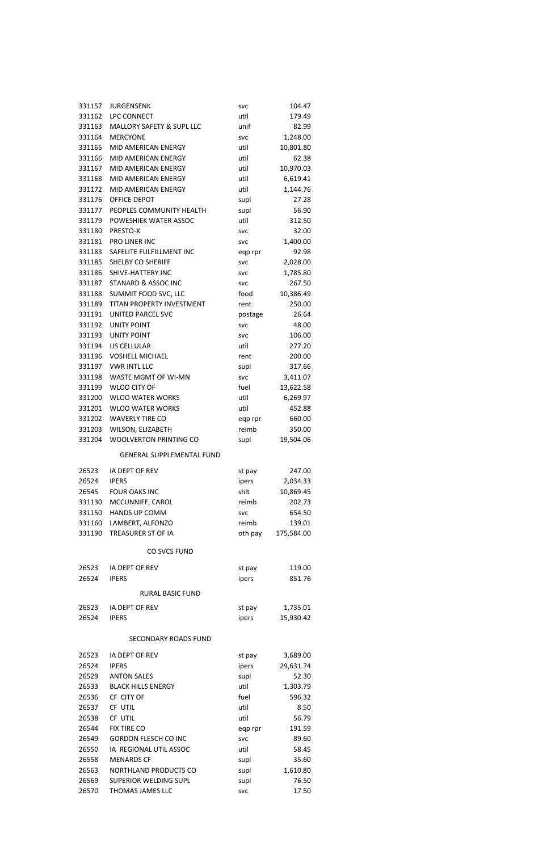| 331162<br><b>LPC CONNECT</b><br>util<br>179.49<br>331163<br>MALLORY SAFETY & SUPL LLC<br>unif<br>82.99<br>331164<br><b>MERCYONE</b><br>1,248.00<br><b>SVC</b><br>331165<br><b>MID AMERICAN ENERGY</b><br>10,801.80<br>util<br>MID AMERICAN ENERGY<br>331166<br>util<br>62.38<br>331167<br>MID AMERICAN ENERGY<br>util<br>10,970.03<br><b>MID AMERICAN ENERGY</b><br>331168<br>util<br>6,619.41<br>MID AMERICAN ENERGY<br>1,144.76<br>331172<br>util<br>331176<br>OFFICE DEPOT<br>supl<br>27.28<br>PEOPLES COMMUNITY HEALTH<br>supl<br>56.90<br>331177<br>331179<br>POWESHIEK WATER ASSOC<br>util<br>312.50<br>331180<br>PRESTO-X<br>32.00<br><b>SVC</b><br>331181<br>PRO LINER INC<br>1,400.00<br><b>SVC</b><br>SAFELITE FULFILLMENT INC<br>92.98<br>331183<br>eqp rpr<br>331185<br><b>SHELBY CO SHERIFF</b><br>2,028.00<br><b>SVC</b><br>SHIVE-HATTERY INC<br>331186<br>1,785.80<br><b>SVC</b><br>331187<br>STANARD & ASSOC INC<br>267.50<br><b>SVC</b><br>SUMMIT FOOD SVC, LLC<br>food<br>10,386.49<br>331188<br>TITAN PROPERTY INVESTMENT<br>331189<br>250.00<br>rent<br>331191<br>UNITED PARCEL SVC<br>26.64<br>postage<br>331192<br><b>UNITY POINT</b><br>48.00<br><b>SVC</b><br>331193<br><b>UNITY POINT</b><br>106.00<br><b>SVC</b><br>331194<br><b>US CELLULAR</b><br>277.20<br>util<br><b>VOSHELL MICHAEL</b><br>331196<br>200.00<br>rent<br>331197<br>VWR INTL LLC<br>317.66<br>supl<br>331198<br><b>WASTE MGMT OF WI-MN</b><br>3,411.07<br><b>SVC</b><br><b>WLOO CITY OF</b><br>fuel<br>331199<br>13,622.58<br>331200<br><b>WLOO WATER WORKS</b><br>util<br>6,269.97<br>331201<br><b>WLOO WATER WORKS</b><br>util<br>452.88<br>331202<br><b>WAVERLY TIRE CO</b><br>660.00<br>eqp rpr<br>WILSON, ELIZABETH<br>reimb<br>331203<br>350.00<br><b>WOOLVERTON PRINTING CO</b><br>supl<br>19,504.06<br>331204<br><b>GENERAL SUPPLEMENTAL FUND</b><br>IA DEPT OF REV<br>247.00<br>26523<br>st pay<br>26524<br><b>IPERS</b><br>2,034.33<br>ipers<br>26545<br><b>FOUR OAKS INC</b><br>shlt<br>10,869.45<br>MCCUNNIFF, CAROL<br>331130<br>reimb<br>202.73<br><b>HANDS UP COMM</b><br>331150<br>654.50<br><b>SVC</b><br>LAMBERT, ALFONZO<br>331160<br>reimb<br>139.01<br>TREASURER ST OF IA<br>331190<br>oth pay<br>175,584.00<br>CO SVCS FUND<br>26523<br>IA DEPT OF REV<br>119.00<br>st pay<br>26524<br><b>IPERS</b><br>ipers<br>851.76<br>RURAL BASIC FUND<br>26523<br>IA DEPT OF REV<br>1,735.01<br>st pay<br>15,930.42<br>26524<br><b>IPERS</b><br>ipers | 331157 | <b>JURGENSENK</b> | <b>SVC</b> | 104.47 |
|--------------------------------------------------------------------------------------------------------------------------------------------------------------------------------------------------------------------------------------------------------------------------------------------------------------------------------------------------------------------------------------------------------------------------------------------------------------------------------------------------------------------------------------------------------------------------------------------------------------------------------------------------------------------------------------------------------------------------------------------------------------------------------------------------------------------------------------------------------------------------------------------------------------------------------------------------------------------------------------------------------------------------------------------------------------------------------------------------------------------------------------------------------------------------------------------------------------------------------------------------------------------------------------------------------------------------------------------------------------------------------------------------------------------------------------------------------------------------------------------------------------------------------------------------------------------------------------------------------------------------------------------------------------------------------------------------------------------------------------------------------------------------------------------------------------------------------------------------------------------------------------------------------------------------------------------------------------------------------------------------------------------------------------------------------------------------------------------------------------------------------------------------------------------------------------------------------------------------------------------------------------------------------------------------------------------------------------------------------------------------------------------------------------------------------------------------------------|--------|-------------------|------------|--------|
|                                                                                                                                                                                                                                                                                                                                                                                                                                                                                                                                                                                                                                                                                                                                                                                                                                                                                                                                                                                                                                                                                                                                                                                                                                                                                                                                                                                                                                                                                                                                                                                                                                                                                                                                                                                                                                                                                                                                                                                                                                                                                                                                                                                                                                                                                                                                                                                                                                                              |        |                   |            |        |
|                                                                                                                                                                                                                                                                                                                                                                                                                                                                                                                                                                                                                                                                                                                                                                                                                                                                                                                                                                                                                                                                                                                                                                                                                                                                                                                                                                                                                                                                                                                                                                                                                                                                                                                                                                                                                                                                                                                                                                                                                                                                                                                                                                                                                                                                                                                                                                                                                                                              |        |                   |            |        |
|                                                                                                                                                                                                                                                                                                                                                                                                                                                                                                                                                                                                                                                                                                                                                                                                                                                                                                                                                                                                                                                                                                                                                                                                                                                                                                                                                                                                                                                                                                                                                                                                                                                                                                                                                                                                                                                                                                                                                                                                                                                                                                                                                                                                                                                                                                                                                                                                                                                              |        |                   |            |        |
|                                                                                                                                                                                                                                                                                                                                                                                                                                                                                                                                                                                                                                                                                                                                                                                                                                                                                                                                                                                                                                                                                                                                                                                                                                                                                                                                                                                                                                                                                                                                                                                                                                                                                                                                                                                                                                                                                                                                                                                                                                                                                                                                                                                                                                                                                                                                                                                                                                                              |        |                   |            |        |
|                                                                                                                                                                                                                                                                                                                                                                                                                                                                                                                                                                                                                                                                                                                                                                                                                                                                                                                                                                                                                                                                                                                                                                                                                                                                                                                                                                                                                                                                                                                                                                                                                                                                                                                                                                                                                                                                                                                                                                                                                                                                                                                                                                                                                                                                                                                                                                                                                                                              |        |                   |            |        |
|                                                                                                                                                                                                                                                                                                                                                                                                                                                                                                                                                                                                                                                                                                                                                                                                                                                                                                                                                                                                                                                                                                                                                                                                                                                                                                                                                                                                                                                                                                                                                                                                                                                                                                                                                                                                                                                                                                                                                                                                                                                                                                                                                                                                                                                                                                                                                                                                                                                              |        |                   |            |        |
|                                                                                                                                                                                                                                                                                                                                                                                                                                                                                                                                                                                                                                                                                                                                                                                                                                                                                                                                                                                                                                                                                                                                                                                                                                                                                                                                                                                                                                                                                                                                                                                                                                                                                                                                                                                                                                                                                                                                                                                                                                                                                                                                                                                                                                                                                                                                                                                                                                                              |        |                   |            |        |
|                                                                                                                                                                                                                                                                                                                                                                                                                                                                                                                                                                                                                                                                                                                                                                                                                                                                                                                                                                                                                                                                                                                                                                                                                                                                                                                                                                                                                                                                                                                                                                                                                                                                                                                                                                                                                                                                                                                                                                                                                                                                                                                                                                                                                                                                                                                                                                                                                                                              |        |                   |            |        |
|                                                                                                                                                                                                                                                                                                                                                                                                                                                                                                                                                                                                                                                                                                                                                                                                                                                                                                                                                                                                                                                                                                                                                                                                                                                                                                                                                                                                                                                                                                                                                                                                                                                                                                                                                                                                                                                                                                                                                                                                                                                                                                                                                                                                                                                                                                                                                                                                                                                              |        |                   |            |        |
|                                                                                                                                                                                                                                                                                                                                                                                                                                                                                                                                                                                                                                                                                                                                                                                                                                                                                                                                                                                                                                                                                                                                                                                                                                                                                                                                                                                                                                                                                                                                                                                                                                                                                                                                                                                                                                                                                                                                                                                                                                                                                                                                                                                                                                                                                                                                                                                                                                                              |        |                   |            |        |
|                                                                                                                                                                                                                                                                                                                                                                                                                                                                                                                                                                                                                                                                                                                                                                                                                                                                                                                                                                                                                                                                                                                                                                                                                                                                                                                                                                                                                                                                                                                                                                                                                                                                                                                                                                                                                                                                                                                                                                                                                                                                                                                                                                                                                                                                                                                                                                                                                                                              |        |                   |            |        |
|                                                                                                                                                                                                                                                                                                                                                                                                                                                                                                                                                                                                                                                                                                                                                                                                                                                                                                                                                                                                                                                                                                                                                                                                                                                                                                                                                                                                                                                                                                                                                                                                                                                                                                                                                                                                                                                                                                                                                                                                                                                                                                                                                                                                                                                                                                                                                                                                                                                              |        |                   |            |        |
|                                                                                                                                                                                                                                                                                                                                                                                                                                                                                                                                                                                                                                                                                                                                                                                                                                                                                                                                                                                                                                                                                                                                                                                                                                                                                                                                                                                                                                                                                                                                                                                                                                                                                                                                                                                                                                                                                                                                                                                                                                                                                                                                                                                                                                                                                                                                                                                                                                                              |        |                   |            |        |
|                                                                                                                                                                                                                                                                                                                                                                                                                                                                                                                                                                                                                                                                                                                                                                                                                                                                                                                                                                                                                                                                                                                                                                                                                                                                                                                                                                                                                                                                                                                                                                                                                                                                                                                                                                                                                                                                                                                                                                                                                                                                                                                                                                                                                                                                                                                                                                                                                                                              |        |                   |            |        |
|                                                                                                                                                                                                                                                                                                                                                                                                                                                                                                                                                                                                                                                                                                                                                                                                                                                                                                                                                                                                                                                                                                                                                                                                                                                                                                                                                                                                                                                                                                                                                                                                                                                                                                                                                                                                                                                                                                                                                                                                                                                                                                                                                                                                                                                                                                                                                                                                                                                              |        |                   |            |        |
|                                                                                                                                                                                                                                                                                                                                                                                                                                                                                                                                                                                                                                                                                                                                                                                                                                                                                                                                                                                                                                                                                                                                                                                                                                                                                                                                                                                                                                                                                                                                                                                                                                                                                                                                                                                                                                                                                                                                                                                                                                                                                                                                                                                                                                                                                                                                                                                                                                                              |        |                   |            |        |
|                                                                                                                                                                                                                                                                                                                                                                                                                                                                                                                                                                                                                                                                                                                                                                                                                                                                                                                                                                                                                                                                                                                                                                                                                                                                                                                                                                                                                                                                                                                                                                                                                                                                                                                                                                                                                                                                                                                                                                                                                                                                                                                                                                                                                                                                                                                                                                                                                                                              |        |                   |            |        |
|                                                                                                                                                                                                                                                                                                                                                                                                                                                                                                                                                                                                                                                                                                                                                                                                                                                                                                                                                                                                                                                                                                                                                                                                                                                                                                                                                                                                                                                                                                                                                                                                                                                                                                                                                                                                                                                                                                                                                                                                                                                                                                                                                                                                                                                                                                                                                                                                                                                              |        |                   |            |        |
|                                                                                                                                                                                                                                                                                                                                                                                                                                                                                                                                                                                                                                                                                                                                                                                                                                                                                                                                                                                                                                                                                                                                                                                                                                                                                                                                                                                                                                                                                                                                                                                                                                                                                                                                                                                                                                                                                                                                                                                                                                                                                                                                                                                                                                                                                                                                                                                                                                                              |        |                   |            |        |
|                                                                                                                                                                                                                                                                                                                                                                                                                                                                                                                                                                                                                                                                                                                                                                                                                                                                                                                                                                                                                                                                                                                                                                                                                                                                                                                                                                                                                                                                                                                                                                                                                                                                                                                                                                                                                                                                                                                                                                                                                                                                                                                                                                                                                                                                                                                                                                                                                                                              |        |                   |            |        |
|                                                                                                                                                                                                                                                                                                                                                                                                                                                                                                                                                                                                                                                                                                                                                                                                                                                                                                                                                                                                                                                                                                                                                                                                                                                                                                                                                                                                                                                                                                                                                                                                                                                                                                                                                                                                                                                                                                                                                                                                                                                                                                                                                                                                                                                                                                                                                                                                                                                              |        |                   |            |        |
|                                                                                                                                                                                                                                                                                                                                                                                                                                                                                                                                                                                                                                                                                                                                                                                                                                                                                                                                                                                                                                                                                                                                                                                                                                                                                                                                                                                                                                                                                                                                                                                                                                                                                                                                                                                                                                                                                                                                                                                                                                                                                                                                                                                                                                                                                                                                                                                                                                                              |        |                   |            |        |
|                                                                                                                                                                                                                                                                                                                                                                                                                                                                                                                                                                                                                                                                                                                                                                                                                                                                                                                                                                                                                                                                                                                                                                                                                                                                                                                                                                                                                                                                                                                                                                                                                                                                                                                                                                                                                                                                                                                                                                                                                                                                                                                                                                                                                                                                                                                                                                                                                                                              |        |                   |            |        |
|                                                                                                                                                                                                                                                                                                                                                                                                                                                                                                                                                                                                                                                                                                                                                                                                                                                                                                                                                                                                                                                                                                                                                                                                                                                                                                                                                                                                                                                                                                                                                                                                                                                                                                                                                                                                                                                                                                                                                                                                                                                                                                                                                                                                                                                                                                                                                                                                                                                              |        |                   |            |        |
|                                                                                                                                                                                                                                                                                                                                                                                                                                                                                                                                                                                                                                                                                                                                                                                                                                                                                                                                                                                                                                                                                                                                                                                                                                                                                                                                                                                                                                                                                                                                                                                                                                                                                                                                                                                                                                                                                                                                                                                                                                                                                                                                                                                                                                                                                                                                                                                                                                                              |        |                   |            |        |
|                                                                                                                                                                                                                                                                                                                                                                                                                                                                                                                                                                                                                                                                                                                                                                                                                                                                                                                                                                                                                                                                                                                                                                                                                                                                                                                                                                                                                                                                                                                                                                                                                                                                                                                                                                                                                                                                                                                                                                                                                                                                                                                                                                                                                                                                                                                                                                                                                                                              |        |                   |            |        |
|                                                                                                                                                                                                                                                                                                                                                                                                                                                                                                                                                                                                                                                                                                                                                                                                                                                                                                                                                                                                                                                                                                                                                                                                                                                                                                                                                                                                                                                                                                                                                                                                                                                                                                                                                                                                                                                                                                                                                                                                                                                                                                                                                                                                                                                                                                                                                                                                                                                              |        |                   |            |        |
|                                                                                                                                                                                                                                                                                                                                                                                                                                                                                                                                                                                                                                                                                                                                                                                                                                                                                                                                                                                                                                                                                                                                                                                                                                                                                                                                                                                                                                                                                                                                                                                                                                                                                                                                                                                                                                                                                                                                                                                                                                                                                                                                                                                                                                                                                                                                                                                                                                                              |        |                   |            |        |
|                                                                                                                                                                                                                                                                                                                                                                                                                                                                                                                                                                                                                                                                                                                                                                                                                                                                                                                                                                                                                                                                                                                                                                                                                                                                                                                                                                                                                                                                                                                                                                                                                                                                                                                                                                                                                                                                                                                                                                                                                                                                                                                                                                                                                                                                                                                                                                                                                                                              |        |                   |            |        |
|                                                                                                                                                                                                                                                                                                                                                                                                                                                                                                                                                                                                                                                                                                                                                                                                                                                                                                                                                                                                                                                                                                                                                                                                                                                                                                                                                                                                                                                                                                                                                                                                                                                                                                                                                                                                                                                                                                                                                                                                                                                                                                                                                                                                                                                                                                                                                                                                                                                              |        |                   |            |        |
|                                                                                                                                                                                                                                                                                                                                                                                                                                                                                                                                                                                                                                                                                                                                                                                                                                                                                                                                                                                                                                                                                                                                                                                                                                                                                                                                                                                                                                                                                                                                                                                                                                                                                                                                                                                                                                                                                                                                                                                                                                                                                                                                                                                                                                                                                                                                                                                                                                                              |        |                   |            |        |
|                                                                                                                                                                                                                                                                                                                                                                                                                                                                                                                                                                                                                                                                                                                                                                                                                                                                                                                                                                                                                                                                                                                                                                                                                                                                                                                                                                                                                                                                                                                                                                                                                                                                                                                                                                                                                                                                                                                                                                                                                                                                                                                                                                                                                                                                                                                                                                                                                                                              |        |                   |            |        |
|                                                                                                                                                                                                                                                                                                                                                                                                                                                                                                                                                                                                                                                                                                                                                                                                                                                                                                                                                                                                                                                                                                                                                                                                                                                                                                                                                                                                                                                                                                                                                                                                                                                                                                                                                                                                                                                                                                                                                                                                                                                                                                                                                                                                                                                                                                                                                                                                                                                              |        |                   |            |        |
|                                                                                                                                                                                                                                                                                                                                                                                                                                                                                                                                                                                                                                                                                                                                                                                                                                                                                                                                                                                                                                                                                                                                                                                                                                                                                                                                                                                                                                                                                                                                                                                                                                                                                                                                                                                                                                                                                                                                                                                                                                                                                                                                                                                                                                                                                                                                                                                                                                                              |        |                   |            |        |
|                                                                                                                                                                                                                                                                                                                                                                                                                                                                                                                                                                                                                                                                                                                                                                                                                                                                                                                                                                                                                                                                                                                                                                                                                                                                                                                                                                                                                                                                                                                                                                                                                                                                                                                                                                                                                                                                                                                                                                                                                                                                                                                                                                                                                                                                                                                                                                                                                                                              |        |                   |            |        |
|                                                                                                                                                                                                                                                                                                                                                                                                                                                                                                                                                                                                                                                                                                                                                                                                                                                                                                                                                                                                                                                                                                                                                                                                                                                                                                                                                                                                                                                                                                                                                                                                                                                                                                                                                                                                                                                                                                                                                                                                                                                                                                                                                                                                                                                                                                                                                                                                                                                              |        |                   |            |        |
|                                                                                                                                                                                                                                                                                                                                                                                                                                                                                                                                                                                                                                                                                                                                                                                                                                                                                                                                                                                                                                                                                                                                                                                                                                                                                                                                                                                                                                                                                                                                                                                                                                                                                                                                                                                                                                                                                                                                                                                                                                                                                                                                                                                                                                                                                                                                                                                                                                                              |        |                   |            |        |
|                                                                                                                                                                                                                                                                                                                                                                                                                                                                                                                                                                                                                                                                                                                                                                                                                                                                                                                                                                                                                                                                                                                                                                                                                                                                                                                                                                                                                                                                                                                                                                                                                                                                                                                                                                                                                                                                                                                                                                                                                                                                                                                                                                                                                                                                                                                                                                                                                                                              |        |                   |            |        |
|                                                                                                                                                                                                                                                                                                                                                                                                                                                                                                                                                                                                                                                                                                                                                                                                                                                                                                                                                                                                                                                                                                                                                                                                                                                                                                                                                                                                                                                                                                                                                                                                                                                                                                                                                                                                                                                                                                                                                                                                                                                                                                                                                                                                                                                                                                                                                                                                                                                              |        |                   |            |        |
|                                                                                                                                                                                                                                                                                                                                                                                                                                                                                                                                                                                                                                                                                                                                                                                                                                                                                                                                                                                                                                                                                                                                                                                                                                                                                                                                                                                                                                                                                                                                                                                                                                                                                                                                                                                                                                                                                                                                                                                                                                                                                                                                                                                                                                                                                                                                                                                                                                                              |        |                   |            |        |
|                                                                                                                                                                                                                                                                                                                                                                                                                                                                                                                                                                                                                                                                                                                                                                                                                                                                                                                                                                                                                                                                                                                                                                                                                                                                                                                                                                                                                                                                                                                                                                                                                                                                                                                                                                                                                                                                                                                                                                                                                                                                                                                                                                                                                                                                                                                                                                                                                                                              |        |                   |            |        |
|                                                                                                                                                                                                                                                                                                                                                                                                                                                                                                                                                                                                                                                                                                                                                                                                                                                                                                                                                                                                                                                                                                                                                                                                                                                                                                                                                                                                                                                                                                                                                                                                                                                                                                                                                                                                                                                                                                                                                                                                                                                                                                                                                                                                                                                                                                                                                                                                                                                              |        |                   |            |        |
|                                                                                                                                                                                                                                                                                                                                                                                                                                                                                                                                                                                                                                                                                                                                                                                                                                                                                                                                                                                                                                                                                                                                                                                                                                                                                                                                                                                                                                                                                                                                                                                                                                                                                                                                                                                                                                                                                                                                                                                                                                                                                                                                                                                                                                                                                                                                                                                                                                                              |        |                   |            |        |
|                                                                                                                                                                                                                                                                                                                                                                                                                                                                                                                                                                                                                                                                                                                                                                                                                                                                                                                                                                                                                                                                                                                                                                                                                                                                                                                                                                                                                                                                                                                                                                                                                                                                                                                                                                                                                                                                                                                                                                                                                                                                                                                                                                                                                                                                                                                                                                                                                                                              |        |                   |            |        |
|                                                                                                                                                                                                                                                                                                                                                                                                                                                                                                                                                                                                                                                                                                                                                                                                                                                                                                                                                                                                                                                                                                                                                                                                                                                                                                                                                                                                                                                                                                                                                                                                                                                                                                                                                                                                                                                                                                                                                                                                                                                                                                                                                                                                                                                                                                                                                                                                                                                              |        |                   |            |        |
|                                                                                                                                                                                                                                                                                                                                                                                                                                                                                                                                                                                                                                                                                                                                                                                                                                                                                                                                                                                                                                                                                                                                                                                                                                                                                                                                                                                                                                                                                                                                                                                                                                                                                                                                                                                                                                                                                                                                                                                                                                                                                                                                                                                                                                                                                                                                                                                                                                                              |        |                   |            |        |
|                                                                                                                                                                                                                                                                                                                                                                                                                                                                                                                                                                                                                                                                                                                                                                                                                                                                                                                                                                                                                                                                                                                                                                                                                                                                                                                                                                                                                                                                                                                                                                                                                                                                                                                                                                                                                                                                                                                                                                                                                                                                                                                                                                                                                                                                                                                                                                                                                                                              |        |                   |            |        |

| 26523 | <b>IA DEPT OF REV</b>       | st pay     | 3,689.00  |
|-------|-----------------------------|------------|-----------|
| 26524 | <b>IPERS</b>                | ipers      | 29,631.74 |
| 26529 | <b>ANTON SALES</b>          | supl       | 52.30     |
| 26533 | <b>BLACK HILLS ENERGY</b>   | util       | 1,303.79  |
| 26536 | CF CITY OF                  | fuel       | 596.32    |
| 26537 | CF UTIL                     | util       | 8.50      |
| 26538 | CF UTIL                     | util       | 56.79     |
| 26544 | <b>FIX TIRE CO</b>          | eqp rpr    | 191.59    |
| 26549 | <b>GORDON FLESCH CO INC</b> | <b>SVC</b> | 89.60     |
| 26550 | IA REGIONAL UTIL ASSOC      | util       | 58.45     |
| 26558 | <b>MENARDS CF</b>           | supl       | 35.60     |
| 26563 | NORTHLAND PRODUCTS CO       | supl       | 1,610.80  |
| 26569 | SUPERIOR WELDING SUPL       | supl       | 76.50     |
| 26570 | THOMAS JAMES LLC            | <b>SVC</b> | 17.50     |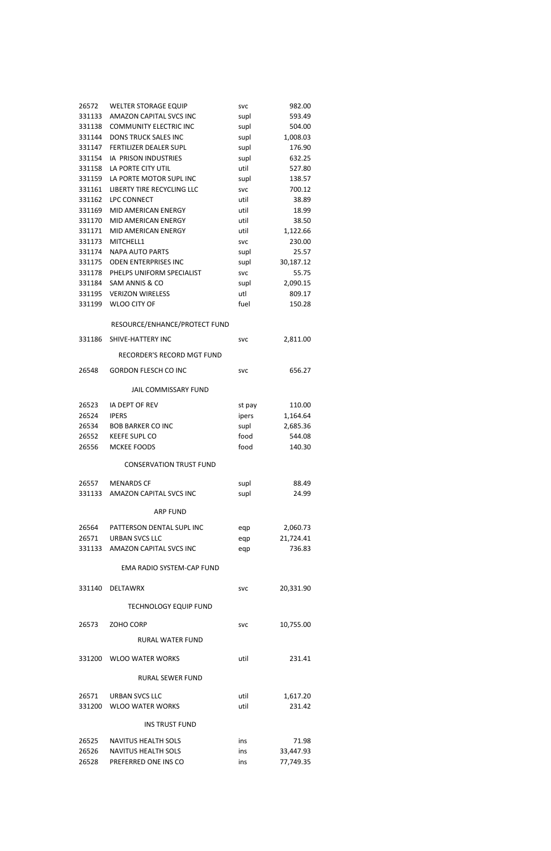|        | 26572 WELTER STORAGE EQUIP        | <b>SVC</b> | 982.00    |
|--------|-----------------------------------|------------|-----------|
|        | 331133 AMAZON CAPITAL SVCS INC    | supl       | 593.49    |
| 331138 | <b>COMMUNITY ELECTRIC INC</b>     | supl       | 504.00    |
| 331144 | <b>DONS TRUCK SALES INC</b>       | supl       | 1,008.03  |
|        | 331147 FERTILIZER DEALER SUPL     | supl       | 176.90    |
| 331154 | IA PRISON INDUSTRIES              | supl       | 632.25    |
| 331158 | LA PORTE CITY UTIL                | util       | 527.80    |
|        | 331159 LA PORTE MOTOR SUPL INC    | supl       | 138.57    |
|        | 331161 LIBERTY TIRE RECYCLING LLC | <b>SVC</b> | 700.12    |
| 331162 | <b>LPC CONNECT</b>                | util       | 38.89     |
| 331169 | MID AMERICAN ENERGY               | util       | 18.99     |
| 331170 | MID AMERICAN ENERGY               | util       | 38.50     |
| 331171 | MID AMERICAN ENERGY               | util       | 1,122.66  |
| 331173 | MITCHELL1                         | <b>SVC</b> | 230.00    |
| 331174 | <b>NAPA AUTO PARTS</b>            | supl       | 25.57     |
| 331175 | <b>ODEN ENTERPRISES INC</b>       | supl       | 30,187.12 |
|        | 331178 PHELPS UNIFORM SPECIALIST  | <b>SVC</b> | 55.75     |
|        | 331184 SAM ANNIS & CO             | supl       | 2,090.15  |
|        | 331195 VERIZON WIRELESS           | utl        | 809.17    |
|        | 331199 WLOO CITY OF               | fuel       | 150.28    |
|        | RESOURCE/ENHANCE/PROTECT FUND     |            |           |
| 331186 | SHIVE-HATTERY INC                 | <b>SVC</b> | 2,811.00  |
|        | RECORDER'S RECORD MGT FUND        |            |           |
| 26548  | <b>GORDON FLESCH CO INC</b>       | <b>SVC</b> | 656.27    |
|        | <b>JAIL COMMISSARY FUND</b>       |            |           |
| 26523  | IA DEPT OF REV                    | st pay     | 110.00    |
| 26524  | <b>IPERS</b>                      | ipers      | 1,164.64  |
| 26534  | <b>BOB BARKER CO INC</b>          | supl       | 2,685.36  |
| 26552  | <b>KEEFE SUPL CO</b>              | food       | 544.08    |
| 26556  | MCKEE FOODS                       | food       | 140.30    |
|        | <b>CONSERVATION TRUST FUND</b>    |            |           |
|        | 26557 MENARDS CF                  | supl       | 88.49     |
|        | 331133 AMAZON CAPITAL SVCS INC    | supl       | 24.99     |
|        | <b>ARP FUND</b>                   |            |           |
|        | 26564 PATTERSON DENTAL SUPLINC    | eqp        | 2,060.73  |
|        | 26571 URBAN SVCS LLC              | eqp        | 21,724.41 |
|        | 331133 AMAZON CAPITAL SVCS INC    | eqp        | 736.83    |
|        | EMA RADIO SYSTEM-CAP FUND         |            |           |
| 331140 | <b>DELTAWRX</b>                   | <b>SVC</b> | 20,331.90 |
|        | <b>TECHNOLOGY EQUIP FUND</b>      |            |           |
|        |                                   |            |           |

| 26573  | ZOHO CORP                  | <b>SVC</b> | 10,755.00 |  |
|--------|----------------------------|------------|-----------|--|
|        | <b>RURAL WATER FUND</b>    |            |           |  |
| 331200 | <b>WLOO WATER WORKS</b>    | util       | 231.41    |  |
|        | RURAL SEWER FUND           |            |           |  |
| 26571  | URBAN SVCS LLC             | util       | 1,617.20  |  |
| 331200 | <b>WLOO WATER WORKS</b>    | util       | 231.42    |  |
|        | <b>INS TRUST FUND</b>      |            |           |  |
| 26525  | NAVITUS HEALTH SOLS        | ins        | 71.98     |  |
| 26526  | <b>NAVITUS HEALTH SOLS</b> | ins        | 33,447.93 |  |
| 26528  | PREFERRED ONE INS CO       | ins        | 77,749.35 |  |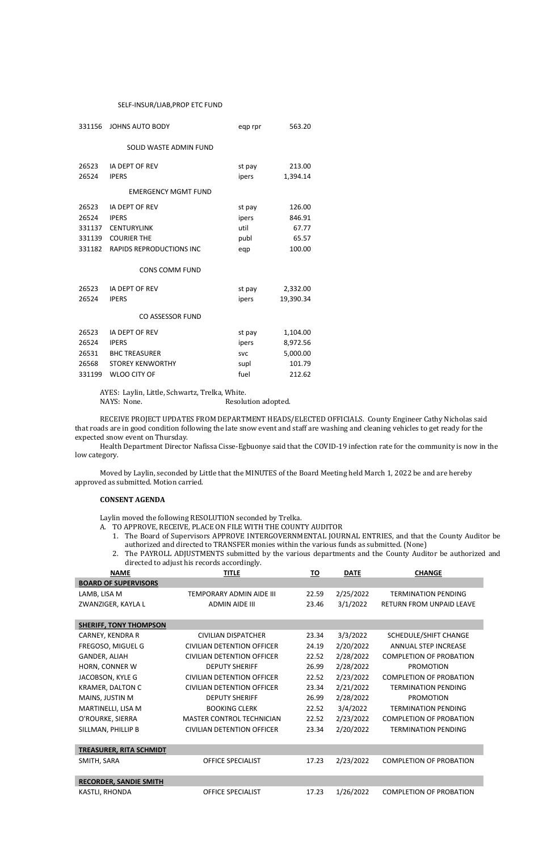# SELF-INSUR/LIAB,PROP ETC FUND

| <b>JOHNS AUTO BODY</b>                                                                                        | eqp rpr                                          | 563.20                                               |
|---------------------------------------------------------------------------------------------------------------|--------------------------------------------------|------------------------------------------------------|
| SOLID WASTE ADMIN FUND                                                                                        |                                                  |                                                      |
| IA DEPT OF REV<br><b>IPERS</b>                                                                                | st pay<br>ipers                                  | 213.00<br>1,394.14                                   |
| <b>EMERGENCY MGMT FUND</b>                                                                                    |                                                  |                                                      |
| IA DEPT OF REV<br><b>IPERS</b><br><b>CENTURYLINK</b><br><b>COURIER THE</b><br><b>RAPIDS REPRODUCTIONS INC</b> | st pay<br>ipers<br>util<br>publ<br>eqp           | 126.00<br>846.91<br>67.77<br>65.57<br>100.00         |
| <b>CONS COMM FUND</b>                                                                                         |                                                  |                                                      |
| IA DEPT OF REV<br><b>IPERS</b><br><b>CO ASSESSOR FUND</b>                                                     | st pay<br>ipers                                  | 2,332.00<br>19,390.34                                |
| IA DEPT OF REV<br><b>IPERS</b><br><b>BHC TREASURER</b><br><b>STOREY KENWORTHY</b>                             | st pay<br>ipers<br><b>SVC</b><br>supl            | 1,104.00<br>8,972.56<br>5,000.00<br>101.79<br>212.62 |
|                                                                                                               | 331137<br>331182<br>26531<br><b>WLOO CITY OF</b> | fuel                                                 |

AYES: Laylin, Little, Schwartz, Trelka, White.

NAYS: None. Resolution adopted.

- A. TO APPROVE, RECEIVE, PLACE ON FILE WITH THE COUNTY AUDITOR
	- 1. The Board of Supervisors APPROVE INTERGOVERNMENTAL JOURNAL ENTRIES, and that the County Auditor be authorized and directed to TRANSFER monies within the various funds as submitted. (None)
	- 2. The PAYROLL ADJUSTMENTS submitted by the various departments and the County Auditor be authorized and directed to adjust his records accordingly.

RECEIVE PROJECT UPDATES FROM DEPARTMENT HEADS/ELECTED OFFICIALS. County Engineer Cathy Nicholas said that roads are in good condition following the late snow event and staff are washing and cleaning vehicles to get ready for the expected snow event on Thursday.

Health Department Director Nafissa Cisse-Egbuonye said that the COVID-19 infection rate for the community is now in the low category.

Moved by Laylin, seconded by Little that the MINUTES of the Board Meeting held March 1, 2022 be and are hereby approved as submitted. Motion carried.

### **CONSENT AGENDA**

Laylin moved the following RESOLUTION seconded by Trelka.

| <b>NAME</b>                 | TITLE                    | то    | <b>DATE</b> | CHANGE                     |
|-----------------------------|--------------------------|-------|-------------|----------------------------|
| <b>BOARD OF SUPERVISORS</b> |                          |       |             |                            |
| LAMB, LISA M                | TEMPORARY ADMIN AIDE III | 22.59 | 2/25/2022   | <b>TERMINATION PENDING</b> |
| ZWANZIGER, KAYLA L          | ADMIN AIDE III           | 23.46 | 3/1/2022    | RETURN FROM UNPAID LEAVE   |

| SHEKIFF, IUNY IHUMPSUN         |                                  |       |           |                                |
|--------------------------------|----------------------------------|-------|-----------|--------------------------------|
| CARNEY, KENDRA R               | CIVILIAN DISPATCHER              | 23.34 | 3/3/2022  | SCHEDULE/SHIFT CHANGE          |
| FREGOSO, MIGUEL G              | CIVILIAN DETENTION OFFICER       | 24.19 | 2/20/2022 | <b>ANNUAL STEP INCREASE</b>    |
| GANDER, ALIAH                  | CIVILIAN DETENTION OFFICER       | 22.52 | 2/28/2022 | <b>COMPLETION OF PROBATION</b> |
| HORN, CONNER W                 | <b>DEPUTY SHERIFF</b>            | 26.99 | 2/28/2022 | <b>PROMOTION</b>               |
| JACOBSON, KYLE G               | CIVILIAN DETENTION OFFICER       | 22.52 | 2/23/2022 | <b>COMPLETION OF PROBATION</b> |
| <b>KRAMER, DALTON C</b>        | CIVILIAN DETENTION OFFICER       | 23.34 | 2/21/2022 | <b>TERMINATION PENDING</b>     |
| MAINS, JUSTIN M                | <b>DEPUTY SHERIFF</b>            | 26.99 | 2/28/2022 | <b>PROMOTION</b>               |
| MARTINELLI, LISA M             | <b>BOOKING CLERK</b>             | 22.52 | 3/4/2022  | <b>TERMINATION PENDING</b>     |
| O'ROURKE, SIERRA               | <b>MASTER CONTROL TECHNICIAN</b> | 22.52 | 2/23/2022 | <b>COMPLETION OF PROBATION</b> |
| SILLMAN, PHILLIP B             | CIVILIAN DETENTION OFFICER       | 23.34 | 2/20/2022 | <b>TERMINATION PENDING</b>     |
|                                |                                  |       |           |                                |
| <b>TREASURER, RITA SCHMIDT</b> |                                  |       |           |                                |
| SMITH, SARA                    | <b>OFFICE SPECIALIST</b>         | 17.23 | 2/23/2022 | <b>COMPLETION OF PROBATION</b> |
|                                |                                  |       |           |                                |

| <b>RECORDER, SANDIE SMITH</b> |                          |  |                                         |
|-------------------------------|--------------------------|--|-----------------------------------------|
| KASTLI, RHONDA                | <b>OFFICE SPECIALIST</b> |  | 17.23 1/26/2022 COMPLETION OF PROBATION |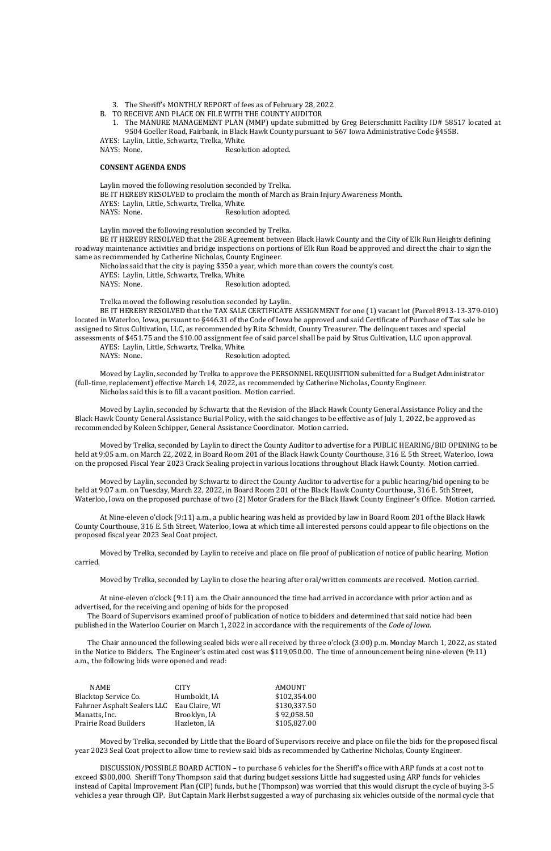3. The Sheriff's MONTHLY REPORT of fees as of February 28, 2022.

B. TO RECEIVE AND PLACE ON FILE WITH THE COUNTY AUDITOR

Laylin moved the following resolution seconded by Trelka. BE IT HEREBY RESOLVED to proclaim the month of March as Brain Injury Awareness Month. AYES: Laylin, Little, Schwartz, Trelka, White. NAYS: None. Resolution adopted.

1. The MANURE MANAGEMENT PLAN (MMP) update submitted by Greg Beierschmitt Facility ID# 58517 located at 9504 Goeller Road, Fairbank, in Black Hawk County pursuant to 567 Iowa Administrative Code §455B.

AYES: Laylin, Little, Schwartz, Trelka, White.

NAYS: None. Resolution adopted.

### **CONSENT AGENDA ENDS**

Nicholas said that the city is paying \$350 a year, which more than covers the county's cost. AYES: Laylin, Little, Schwartz, Trelka, White. NAYS: None. Resolution adopted.

Laylin moved the following resolution seconded by Trelka.

BE IT HEREBY RESOLVED that the 28E Agreement between Black Hawk County and the City of Elk Run Heights defining roadway maintenance activities and bridge inspections on portions of Elk Run Road be approved and direct the chair to sign the same as recommended by Catherine Nicholas, County Engineer.

AYES: Laylin, Little, Schwartz, Trelka, White. NAYS: None. Resolution adopted.

Trelka moved the following resolution seconded by Laylin.

BE IT HEREBY RESOLVED that the TAX SALE CERTIFICATE ASSIGNMENT for one (1) vacant lot (Parcel 8913-13-379-010) located in Waterloo, Iowa, pursuant to §446.31 of the Code of Iowa be approved and said Certificate of Purchase of Tax sale be assigned to Situs Cultivation, LLC, as recommended by Rita Schmidt, County Treasurer. The delinquent taxes and special assessments of \$451.75 and the \$10.00 assignment fee of said parcel shall be paid by Situs Cultivation, LLC upon approval.

The Board of Supervisors examined proof of publication of notice to bidders and determined that said notice had been blished in the Waterloo Courier on March 1, 2022 in accordance with the requirements of the *Code of Iowa*.

Moved by Laylin, seconded by Trelka to approve the PERSONNEL REQUISITION submitted for a Budget Administrator (full-time, replacement) effective March 14, 2022, as recommended by Catherine Nicholas, County Engineer. Nicholas said this is to fill a vacant position. Motion carried.

Moved by Laylin, seconded by Schwartz that the Revision of the Black Hawk County General Assistance Policy and the Black Hawk County General Assistance Burial Policy, with the said changes to be effective as of July 1, 2022, be approved as recommended by Koleen Schipper, General Assistance Coordinator. Motion carried.

Moved by Trelka, seconded by Laylin to direct the County Auditor to advertise for a PUBLIC HEARING/BID OPENING to be held at 9:05 a.m. on March 22, 2022, in Board Room 201 of the Black Hawk County Courthouse, 316 E. 5th Street, Waterloo, Iowa on the proposed Fiscal Year 2023 Crack Sealing project in various locations throughout Black Hawk County. Motion carried.

Moved by Laylin, seconded by Schwartz to direct the County Auditor to advertise for a public hearing/bid opening to be held at 9:07 a.m. on Tuesday, March 22, 2022, in Board Room 201 of the Black Hawk County Courthouse, 316 E. 5th Street, Waterloo, Iowa on the proposed purchase of two (2) Motor Graders for the Black Hawk County Engineer's Office. Motion carried.

At Nine-eleven o'clock (9:11) a.m., a public hearing was held as provided by law in Board Room 201 of the Black Hawk County Courthouse, 316 E. 5th Street, Waterloo, Iowa at which time all interested persons could appear to file objections on the proposed fiscal year 2023 Seal Coat project.

Moved by Trelka, seconded by Laylin to receive and place on file proof of publication of notice of public hearing. Motion carried.

Moved by Trelka, seconded by Laylin to close the hearing after oral/written comments are received. Motion carried.

At nine-eleven o'clock (9:11) a.m. the Chair announced the time had arrived in accordance with prior action and as advertised, for the receiving and opening of bids for the proposed

The Chair announced the following sealed bids were all received by three o'clock (3:00) p.m. Monday March 1, 2022, as stated in the Notice to Bidders. The Engineer's estimated cost was \$119,050.00. The time of announcement being nine-eleven (9:11) a.m., the following bids were opened and read:

| NAME.                        | <b>CITY</b>    | <b>AMOUNT</b> |
|------------------------------|----------------|---------------|
| Blacktop Service Co.         | Humboldt, IA   | \$102,354.00  |
| Fahrner Asphalt Sealers LLC  | Eau Claire, WI | \$130,337.50  |
| Manatts, Inc.                | Brooklyn, IA   | \$92,058.50   |
| <b>Prairie Road Builders</b> | Hazleton, IA   | \$105,827.00  |

Moved by Trelka, seconded by Little that the Board of Supervisors receive and place on file the bids for the proposed fiscal year 2023 Seal Coat project to allow time to review said bids as recommended by Catherine Nicholas, County Engineer.

DISCUSSION/POSSIBLE BOARD ACTION – to purchase 6 vehicles for the Sheriff's office with ARP funds at a cost not to exceed \$300,000. Sheriff Tony Thompson said that during budget sessions Little had suggested using ARP funds for vehicles instead of Capital Improvement Plan (CIP) funds, but he (Thompson) was worried that this would disrupt the cycle of buying 3-5 vehicles a year through CIP. But Captain Mark Herbst suggested a way of purchasing six vehicles outside of the normal cycle that